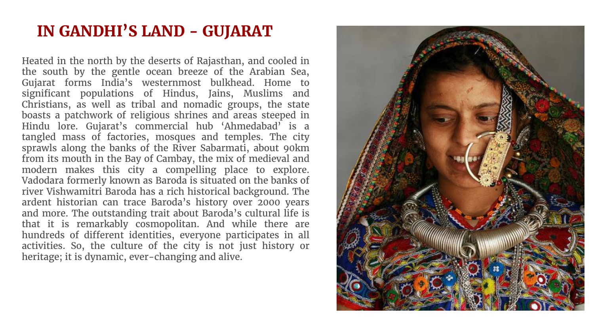## **IN GANDHI'S LAND - GUJARAT**

Heated in the north by the deserts of Rajasthan, and cooled in the south by the gentle ocean breeze of the Arabian Sea, Gujarat forms India's westernmost bulkhead. Home to significant populations of Hindus, Jains, Muslims and Christians, as well as tribal and nomadic groups, the state boasts a patchwork of religious shrines and areas steeped in Hindu lore. Gujarat's commercial hub 'Ahmedabad' is a tangled mass of factories, mosques and temples. The city sprawls along the banks of the River Sabarmati, about 90km from its mouth in the Bay of Cambay, the mix of medieval and modern makes this city a compelling place to explore. Vadodara formerly known as Baroda is situated on the banks of river Vishwamitri Baroda has a rich historical background. The ardent historian can trace Baroda's history over 2000 years and more. The outstanding trait about Baroda's cultural life is that it is remarkably cosmopolitan. And while there are hundreds of different identities, everyone participates in all activities. So, the culture of the city is not just history or heritage; it is dynamic, ever-changing and alive.

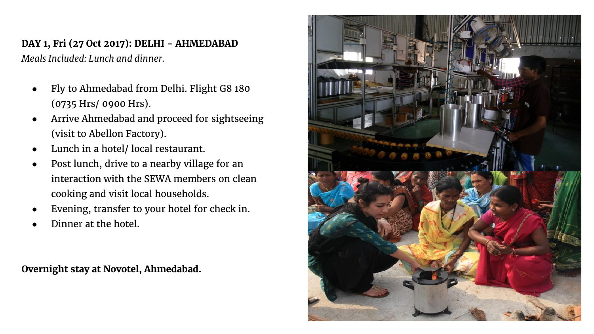## **DAY 1, Fri (27 Oct 2017): DELHI - AHMEDABAD** *Meals Included: Lunch and dinner.*

- Fly to Ahmedabad from Delhi. Flight G8 180 (0735 Hrs/ 0900 Hrs).
- Arrive Ahmedabad and proceed for sightseeing (visit to Abellon Factory).
- Lunch in a hotel/ local restaurant.
- Post lunch, drive to a nearby village for an interaction with the SEWA members on clean cooking and visit local households.
- Evening, transfer to your hotel for check in.
- Dinner at the hotel.

**Overnight stay at Novotel, Ahmedabad.**

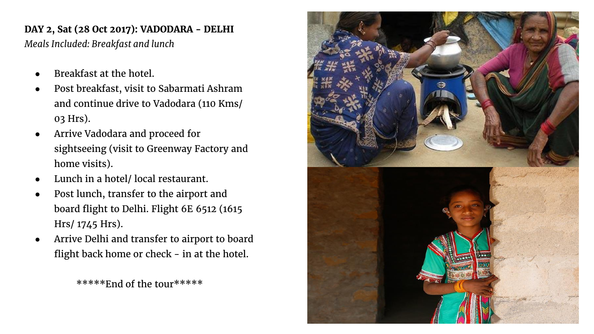## **DAY 2, Sat (28 Oct 2017): VADODARA - DELHI**

*Meals Included: Breakfast and lunch*

- Breakfast at the hotel.
- Post breakfast, visit to Sabarmati Ashram and continue drive to Vadodara (110 Kms/ 03 Hrs).
- Arrive Vadodara and proceed for sightseeing (visit to Greenway Factory and home visits).
- Lunch in a hotel/ local restaurant.
- Post lunch, transfer to the airport and board flight to Delhi. Flight 6E 6512 (1615 Hrs/ 1745 Hrs).
- Arrive Delhi and transfer to airport to board flight back home or check - in at the hotel.

\*\*\*\*\*End of the tour\*\*\*\*\*